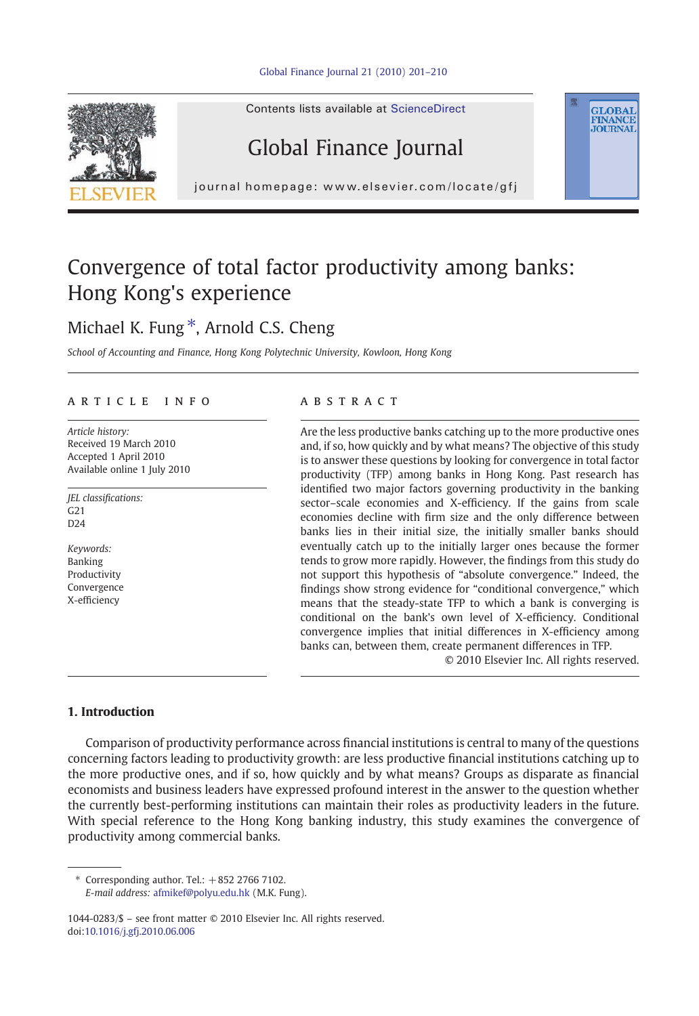

Contents lists available at ScienceDirect

# Global Finance Journal

journal homepage: www.elsevier.com/locate/gfj

# Convergence of total factor productivity among banks: Hong Kong's experience

## Michael K. Fung  $*$ , Arnold C.S. Cheng

School of Accounting and Finance, Hong Kong Polytechnic University, Kowloon, Hong Kong

## article info abstract

Article history: Received 19 March 2010 Accepted 1 April 2010 Available online 1 July 2010

JEL classifications: G21  $D24$ 

Keywords: Banking Productivity Convergence X-efficiency

Are the less productive banks catching up to the more productive ones and, if so, how quickly and by what means? The objective of this study is to answer these questions by looking for convergence in total factor productivity (TFP) among banks in Hong Kong. Past research has identified two major factors governing productivity in the banking sector–scale economies and X-efficiency. If the gains from scale economies decline with firm size and the only difference between banks lies in their initial size, the initially smaller banks should eventually catch up to the initially larger ones because the former tends to grow more rapidly. However, the findings from this study do not support this hypothesis of "absolute convergence." Indeed, the findings show strong evidence for "conditional convergence," which means that the steady-state TFP to which a bank is converging is conditional on the bank's own level of X-efficiency. Conditional convergence implies that initial differences in X-efficiency among banks can, between them, create permanent differences in TFP.

© 2010 Elsevier Inc. All rights reserved.

**GLOBAL**<br>FINANCE **JOURNAL** 

### 1. Introduction

Comparison of productivity performance across financial institutions is central to many of the questions concerning factors leading to productivity growth: are less productive financial institutions catching up to the more productive ones, and if so, how quickly and by what means? Groups as disparate as financial economists and business leaders have expressed profound interest in the answer to the question whether the currently best-performing institutions can maintain their roles as productivity leaders in the future. With special reference to the Hong Kong banking industry, this study examines the convergence of productivity among commercial banks.

 $*$  Corresponding author. Tel.:  $+852$  2766 7102.

E-mail address: [afmikef@polyu.edu.hk](mailto:afmikef@polyu.edu.hk) (M.K. Fung).

1044-0283/\$ – see front matter © 2010 Elsevier Inc. All rights reserved. doi:[10.1016/j.gfj.2010.06.006](http://dx.doi.org/10.1016/j.gfj.2010.06.006)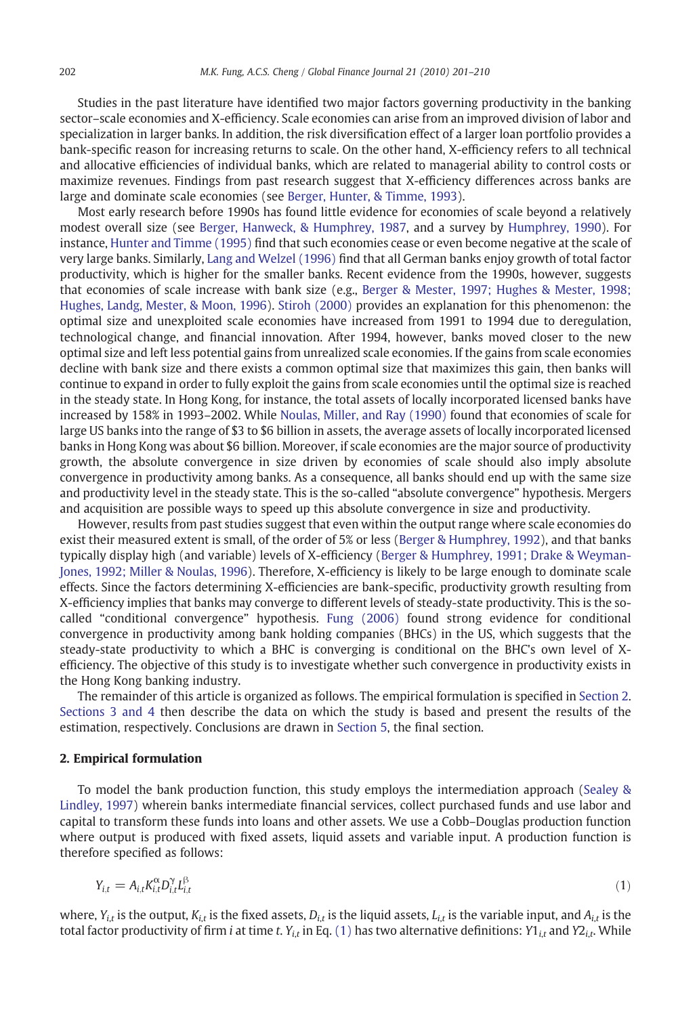Studies in the past literature have identified two major factors governing productivity in the banking sector–scale economies and X-efficiency. Scale economies can arise from an improved division of labor and specialization in larger banks. In addition, the risk diversification effect of a larger loan portfolio provides a bank-specific reason for increasing returns to scale. On the other hand, X-efficiency refers to all technical and allocative efficiencies of individual banks, which are related to managerial ability to control costs or maximize revenues. Findings from past research suggest that X-efficiency differences across banks are large and dominate scale economies (see [Berger, Hunter, & Timme, 1993](#page--1-0)).

Most early research before 1990s has found little evidence for economies of scale beyond a relatively modest overall size (see [Berger, Hanweck, & Humphrey, 1987](#page--1-0), and a survey by [Humphrey, 1990\)](#page--1-0). For instance, [Hunter and Timme \(1995\)](#page--1-0) find that such economies cease or even become negative at the scale of very large banks. Similarly, [Lang and Welzel \(1996\)](#page--1-0) find that all German banks enjoy growth of total factor productivity, which is higher for the smaller banks. Recent evidence from the 1990s, however, suggests that economies of scale increase with bank size (e.g., [Berger & Mester, 1997; Hughes & Mester, 1998;](#page--1-0) [Hughes, Landg, Mester, & Moon, 1996\)](#page--1-0). [Stiroh \(2000\)](#page--1-0) provides an explanation for this phenomenon: the optimal size and unexploited scale economies have increased from 1991 to 1994 due to deregulation, technological change, and financial innovation. After 1994, however, banks moved closer to the new optimal size and left less potential gains from unrealized scale economies. If the gains from scale economies decline with bank size and there exists a common optimal size that maximizes this gain, then banks will continue to expand in order to fully exploit the gains from scale economies until the optimal size is reached in the steady state. In Hong Kong, for instance, the total assets of locally incorporated licensed banks have increased by 158% in 1993–2002. While [Noulas, Miller, and Ray \(1990\)](#page--1-0) found that economies of scale for large US banks into the range of \$3 to \$6 billion in assets, the average assets of locally incorporated licensed banks in Hong Kong was about \$6 billion. Moreover, if scale economies are the major source of productivity growth, the absolute convergence in size driven by economies of scale should also imply absolute convergence in productivity among banks. As a consequence, all banks should end up with the same size and productivity level in the steady state. This is the so-called "absolute convergence" hypothesis. Mergers and acquisition are possible ways to speed up this absolute convergence in size and productivity.

However, results from past studies suggest that even within the output range where scale economies do exist their measured extent is small, of the order of 5% or less [\(Berger & Humphrey, 1992\)](#page--1-0), and that banks typically display high (and variable) levels of X-efficiency [\(Berger & Humphrey, 1991; Drake & Weyman-](#page--1-0)[Jones, 1992; Miller & Noulas, 1996\)](#page--1-0). Therefore, X-efficiency is likely to be large enough to dominate scale effects. Since the factors determining X-efficiencies are bank-specific, productivity growth resulting from X-efficiency implies that banks may converge to different levels of steady-state productivity. This is the socalled "conditional convergence" hypothesis. [Fung \(2006\)](#page--1-0) found strong evidence for conditional convergence in productivity among bank holding companies (BHCs) in the US, which suggests that the steady-state productivity to which a BHC is converging is conditional on the BHC's own level of Xefficiency. The objective of this study is to investigate whether such convergence in productivity exists in the Hong Kong banking industry.

The remainder of this article is organized as follows. The empirical formulation is specified in Section 2. [Sections 3 and 4](#page--1-0) then describe the data on which the study is based and present the results of the estimation, respectively. Conclusions are drawn in [Section 5](#page--1-0), the final section.

## 2. Empirical formulation

To model the bank production function, this study employs the intermediation approach ([Sealey &](#page--1-0) [Lindley, 1997](#page--1-0)) wherein banks intermediate financial services, collect purchased funds and use labor and capital to transform these funds into loans and other assets. We use a Cobb–Douglas production function where output is produced with fixed assets, liquid assets and variable input. A production function is therefore specified as follows:

$$
Y_{i,t} = A_{i,t} K_{i,t}^{\alpha} D_{i,t}^{\gamma} L_{i,t}^{\beta}
$$
 (1)

where,  $Y_{i,t}$  is the output,  $K_{i,t}$  is the fixed assets,  $D_{i,t}$  is the liquid assets,  $L_{i,t}$  is the variable input, and  $A_{i,t}$  is the total factor productivity of firm i at time t.  $Y_{i,t}$  in Eq. (1) has two alternative definitions:  $Y1_{i,t}$  and  $Y2_{i,t}$ . While